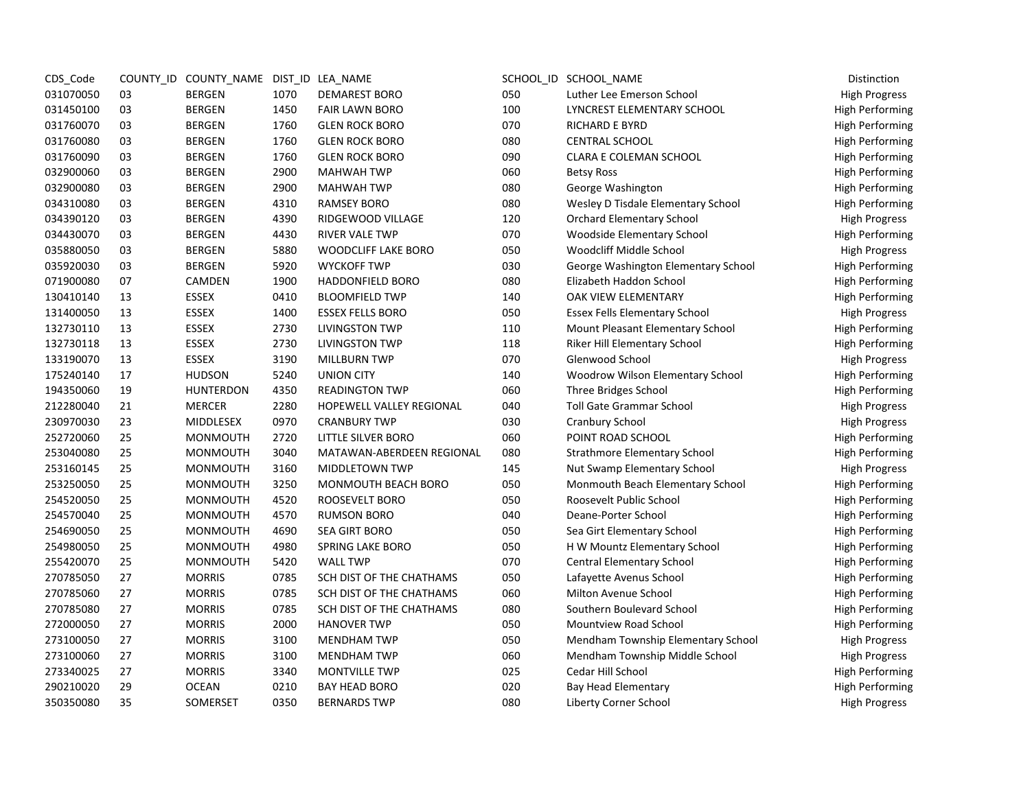| CDS_Code  |    | COUNTY_ID COUNTY_NAME DIST_ID LEA_NAME |      |                            |     | SCHOOL_ID SCHOOL_NAME                | Distinction            |
|-----------|----|----------------------------------------|------|----------------------------|-----|--------------------------------------|------------------------|
| 031070050 | 03 | <b>BERGEN</b>                          | 1070 | <b>DEMAREST BORO</b>       | 050 | Luther Lee Emerson School            | <b>High Progress</b>   |
| 031450100 | 03 | <b>BERGEN</b>                          | 1450 | <b>FAIR LAWN BORO</b>      | 100 | LYNCREST ELEMENTARY SCHOOL           | <b>High Performing</b> |
| 031760070 | 03 | <b>BERGEN</b>                          | 1760 | <b>GLEN ROCK BORO</b>      | 070 | <b>RICHARD E BYRD</b>                | <b>High Performing</b> |
| 031760080 | 03 | <b>BERGEN</b>                          | 1760 | <b>GLEN ROCK BORO</b>      | 080 | <b>CENTRAL SCHOOL</b>                | High Performing        |
| 031760090 | 03 | <b>BERGEN</b>                          | 1760 | <b>GLEN ROCK BORO</b>      | 090 | <b>CLARA E COLEMAN SCHOOL</b>        | <b>High Performing</b> |
| 032900060 | 03 | <b>BERGEN</b>                          | 2900 | <b>MAHWAH TWP</b>          | 060 | <b>Betsy Ross</b>                    | <b>High Performing</b> |
| 032900080 | 03 | <b>BERGEN</b>                          | 2900 | <b>MAHWAH TWP</b>          | 080 | George Washington                    | <b>High Performing</b> |
| 034310080 | 03 | <b>BERGEN</b>                          | 4310 | <b>RAMSEY BORO</b>         | 080 | Wesley D Tisdale Elementary School   | <b>High Performing</b> |
| 034390120 | 03 | <b>BERGEN</b>                          | 4390 | RIDGEWOOD VILLAGE          | 120 | <b>Orchard Elementary School</b>     | <b>High Progress</b>   |
| 034430070 | 03 | <b>BERGEN</b>                          | 4430 | <b>RIVER VALE TWP</b>      | 070 | <b>Woodside Elementary School</b>    | <b>High Performing</b> |
| 035880050 | 03 | <b>BERGEN</b>                          | 5880 | <b>WOODCLIFF LAKE BORO</b> | 050 | Woodcliff Middle School              | <b>High Progress</b>   |
| 035920030 | 03 | <b>BERGEN</b>                          | 5920 | <b>WYCKOFF TWP</b>         | 030 | George Washington Elementary School  | <b>High Performing</b> |
| 071900080 | 07 | CAMDEN                                 | 1900 | <b>HADDONFIELD BORO</b>    | 080 | Elizabeth Haddon School              | <b>High Performing</b> |
| 130410140 | 13 | <b>ESSEX</b>                           | 0410 | <b>BLOOMFIELD TWP</b>      | 140 | <b>OAK VIEW ELEMENTARY</b>           | <b>High Performing</b> |
| 131400050 | 13 | ESSEX                                  | 1400 | <b>ESSEX FELLS BORO</b>    | 050 | <b>Essex Fells Elementary School</b> | <b>High Progress</b>   |
| 132730110 | 13 | ESSEX                                  | 2730 | <b>LIVINGSTON TWP</b>      | 110 | Mount Pleasant Elementary School     | <b>High Performing</b> |
| 132730118 | 13 | <b>ESSEX</b>                           | 2730 | <b>LIVINGSTON TWP</b>      | 118 | Riker Hill Elementary School         | High Performing        |
| 133190070 | 13 | <b>ESSEX</b>                           | 3190 | <b>MILLBURN TWP</b>        | 070 | Glenwood School                      | <b>High Progress</b>   |
| 175240140 | 17 | <b>HUDSON</b>                          | 5240 | <b>UNION CITY</b>          | 140 | Woodrow Wilson Elementary School     | <b>High Performing</b> |
| 194350060 | 19 | <b>HUNTERDON</b>                       | 4350 | <b>READINGTON TWP</b>      | 060 | Three Bridges School                 | <b>High Performing</b> |
| 212280040 | 21 | <b>MERCER</b>                          | 2280 | HOPEWELL VALLEY REGIONAL   | 040 | <b>Toll Gate Grammar School</b>      | <b>High Progress</b>   |
| 230970030 | 23 | MIDDLESEX                              | 0970 | <b>CRANBURY TWP</b>        | 030 | Cranbury School                      | <b>High Progress</b>   |
| 252720060 | 25 | <b>MONMOUTH</b>                        | 2720 | LITTLE SILVER BORO         | 060 | POINT ROAD SCHOOL                    | <b>High Performing</b> |
| 253040080 | 25 | <b>MONMOUTH</b>                        | 3040 | MATAWAN-ABERDEEN REGIONAL  | 080 | <b>Strathmore Elementary School</b>  | <b>High Performing</b> |
| 253160145 | 25 | <b>MONMOUTH</b>                        | 3160 | <b>MIDDLETOWN TWP</b>      | 145 | Nut Swamp Elementary School          | <b>High Progress</b>   |
| 253250050 | 25 | <b>MONMOUTH</b>                        | 3250 | MONMOUTH BEACH BORO        | 050 | Monmouth Beach Elementary School     | <b>High Performing</b> |
| 254520050 | 25 | <b>MONMOUTH</b>                        | 4520 | ROOSEVELT BORO             | 050 | Roosevelt Public School              | <b>High Performing</b> |
| 254570040 | 25 | <b>MONMOUTH</b>                        | 4570 | <b>RUMSON BORO</b>         | 040 | Deane-Porter School                  | <b>High Performing</b> |
| 254690050 | 25 | <b>MONMOUTH</b>                        | 4690 | <b>SEA GIRT BORO</b>       | 050 | Sea Girt Elementary School           | High Performing        |
| 254980050 | 25 | <b>MONMOUTH</b>                        | 4980 | <b>SPRING LAKE BORO</b>    | 050 | H W Mountz Elementary School         | <b>High Performing</b> |
| 255420070 | 25 | <b>MONMOUTH</b>                        | 5420 | <b>WALL TWP</b>            | 070 | <b>Central Elementary School</b>     | <b>High Performing</b> |
| 270785050 | 27 | <b>MORRIS</b>                          | 0785 | SCH DIST OF THE CHATHAMS   | 050 | Lafayette Avenus School              | <b>High Performing</b> |
| 270785060 | 27 | <b>MORRIS</b>                          | 0785 | SCH DIST OF THE CHATHAMS   | 060 | <b>Milton Avenue School</b>          | <b>High Performing</b> |
| 270785080 | 27 | <b>MORRIS</b>                          | 0785 | SCH DIST OF THE CHATHAMS   | 080 | Southern Boulevard School            | <b>High Performing</b> |
| 272000050 | 27 | <b>MORRIS</b>                          | 2000 | <b>HANOVER TWP</b>         | 050 | <b>Mountview Road School</b>         | <b>High Performing</b> |
| 273100050 | 27 | <b>MORRIS</b>                          | 3100 | <b>MENDHAM TWP</b>         | 050 | Mendham Township Elementary School   | <b>High Progress</b>   |
| 273100060 | 27 | <b>MORRIS</b>                          | 3100 | <b>MENDHAM TWP</b>         | 060 | Mendham Township Middle School       | <b>High Progress</b>   |
| 273340025 | 27 | <b>MORRIS</b>                          | 3340 | <b>MONTVILLE TWP</b>       | 025 | Cedar Hill School                    | <b>High Performing</b> |
| 290210020 | 29 | <b>OCEAN</b>                           | 0210 | <b>BAY HEAD BORO</b>       | 020 | <b>Bay Head Elementary</b>           | <b>High Performing</b> |
| 350350080 | 35 | SOMERSET                               | 0350 | <b>BERNARDS TWP</b>        | 080 | Liberty Corner School                | <b>High Progress</b>   |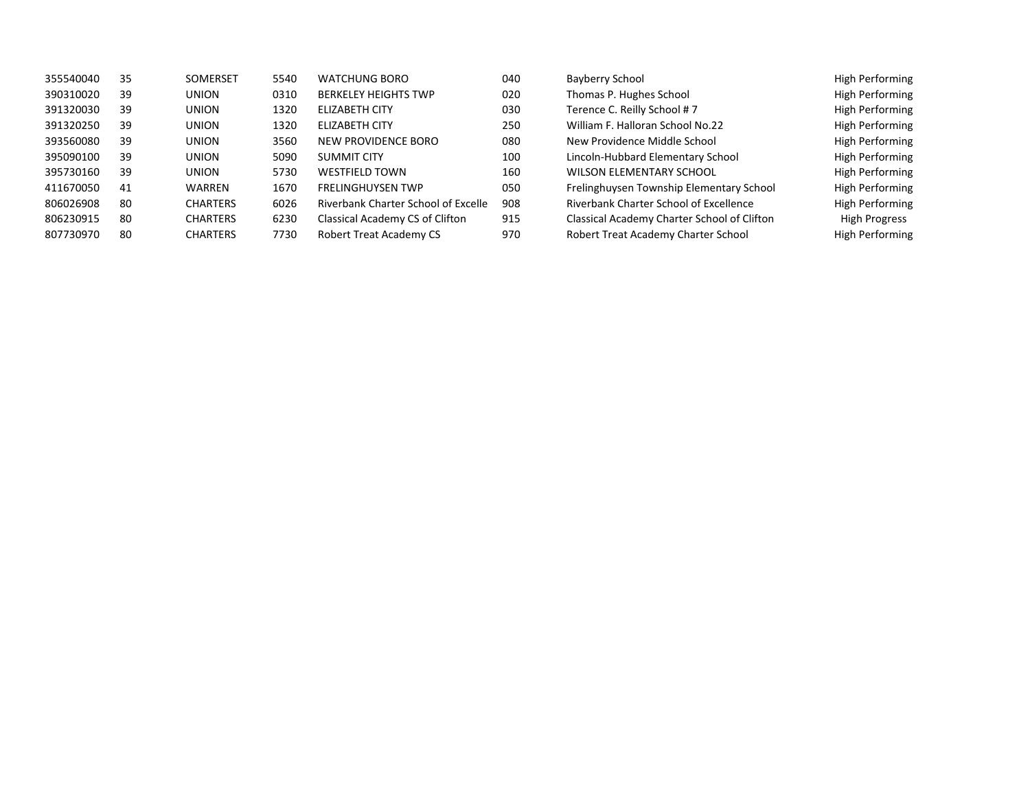| 355540040 | 35 | <b>SOMERSET</b> | 5540 | <b>WATCHUNG BORO</b>                | 040 | Bayberry School                             | <b>High Performing</b> |
|-----------|----|-----------------|------|-------------------------------------|-----|---------------------------------------------|------------------------|
| 390310020 | 39 | <b>UNION</b>    | 0310 | <b>BERKELEY HEIGHTS TWP</b>         | 020 | Thomas P. Hughes School                     | <b>High Performing</b> |
| 391320030 | 39 | <b>UNION</b>    | 1320 | <b>ELIZABETH CITY</b>               | 030 | Terence C. Reilly School #7                 | <b>High Performing</b> |
| 391320250 | 39 | <b>UNION</b>    | 1320 | ELIZABETH CITY                      | 250 | William F. Halloran School No.22            | <b>High Performing</b> |
| 393560080 | 39 | <b>UNION</b>    | 3560 | NEW PROVIDENCE BORO                 | 080 | New Providence Middle School                | <b>High Performing</b> |
| 395090100 | 39 | <b>UNION</b>    | 5090 | <b>SUMMIT CITY</b>                  | 100 | Lincoln-Hubbard Elementary School           | <b>High Performing</b> |
| 395730160 | 39 | <b>UNION</b>    | 5730 | <b>WESTFIELD TOWN</b>               | 160 | <b>WILSON ELEMENTARY SCHOOL</b>             | <b>High Performing</b> |
| 411670050 | 41 | WARREN          | 1670 | <b>FRELINGHUYSEN TWP</b>            | 050 | Frelinghuysen Township Elementary School    | <b>High Performing</b> |
| 806026908 | 80 | <b>CHARTERS</b> | 6026 | Riverbank Charter School of Excelle | 908 | Riverbank Charter School of Excellence      | <b>High Performing</b> |
| 806230915 | 80 | <b>CHARTERS</b> | 6230 | Classical Academy CS of Clifton     | 915 | Classical Academy Charter School of Clifton | High Progress          |
| 807730970 | 80 | <b>CHARTERS</b> | 7730 | <b>Robert Treat Academy CS</b>      | 970 | Robert Treat Academy Charter School         | <b>High Performing</b> |